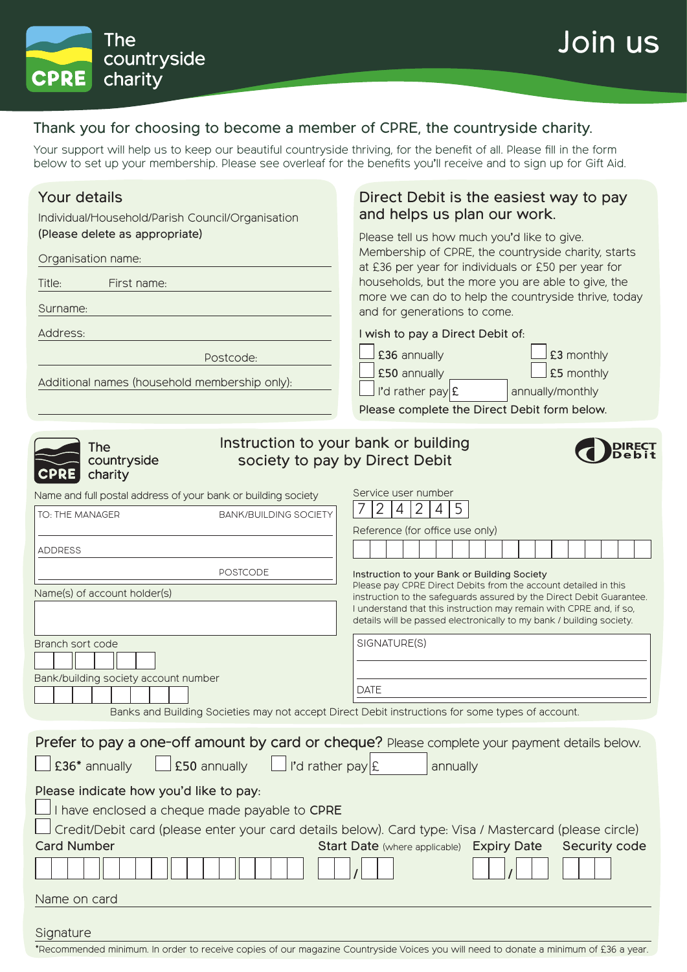Join us



### Thank you for choosing to become a member of CPRE, the countryside charity.

Your support will help us to keep our beautiful countryside thriving, for the benefit of all. Please fill in the form below to set up your membership. Please see overleaf for the benefits you'll receive and to sign up for Gift Aid.

## Your details

Individual/Household/Parish Council/Organisation (Please delete as appropriate)

#### Organisation name:

Title: First name:

Surname:

Address:

Postcode:

Additional names (household membership only):

### Direct Debit is the easiest way to pay and helps us plan our work.

Please tell us how much you'd like to give. Membership of CPRE, the countryside charity, starts at £36 per year for individuals or £50 per year for households, but the more you are able to give, the more we can do to help the countryside thrive, today and for generations to come.

#### I wish to pay a Direct Debit of:

Service user number

£36 annually **E35** monthly £50 annually

| £50 annually      | $\Box$ £5 monthly |
|-------------------|-------------------|
| I'd rather $payE$ | annually/monthly  |

Please complete the Direct Debit form below.



#### Instruction to your bank or building countryside society to pay by Direct Debit

Name and full postal address of your bank or building society

| TO: THE MANAGER<br><b>BANK/BUILDING SOCIETY</b>                                               | $ 2\rangle$<br>2<br>$\overline{4}$<br>4<br>-5                                                                                               |  |
|-----------------------------------------------------------------------------------------------|---------------------------------------------------------------------------------------------------------------------------------------------|--|
|                                                                                               | Reference (for office use only)                                                                                                             |  |
| <b>ADDRESS</b>                                                                                |                                                                                                                                             |  |
| <b>POSTCODE</b>                                                                               | Instruction to your Bank or Building Society                                                                                                |  |
| Name(s) of account holder(s)                                                                  | Please pay CPRE Direct Debits from the account detailed in this<br>instruction to the safeguards assured by the Direct Debit Guarantee.     |  |
|                                                                                               | I understand that this instruction may remain with CPRE and, if so,<br>details will be passed electronically to my bank / building society. |  |
| Branch sort code                                                                              | SIGNATURE(S)                                                                                                                                |  |
|                                                                                               |                                                                                                                                             |  |
| Bank/building society account number                                                          | <b>DATE</b>                                                                                                                                 |  |
|                                                                                               |                                                                                                                                             |  |
|                                                                                               | Banks and Building Societies may not accept Direct Debit instructions for some types of account.                                            |  |
| Prefer to pay a one-off amount by card or cheque? Please complete your payment details below. |                                                                                                                                             |  |
| $\Box$ £50 annually<br>$\Box$ I'd rather pay $E$<br>$\Box$ £36* annually<br>annually          |                                                                                                                                             |  |
| Please indicate how you'd like to pay:                                                        |                                                                                                                                             |  |
| I have enclosed a cheque made payable to CPRE                                                 |                                                                                                                                             |  |
|                                                                                               | Credit/Debit card (please enter your card details below). Card type: Visa / Mastercard (please circle)                                      |  |
| <b>Card Number</b>                                                                            | Security code<br>Start Date (where applicable) Expiry Date                                                                                  |  |
|                                                                                               |                                                                                                                                             |  |
| Name on card                                                                                  |                                                                                                                                             |  |
| Signature                                                                                     |                                                                                                                                             |  |

<sup>\*</sup>Recommended minimum. In order to receive copies of our magazine Countryside Voices you will need to donate a minimum of £36 a year.